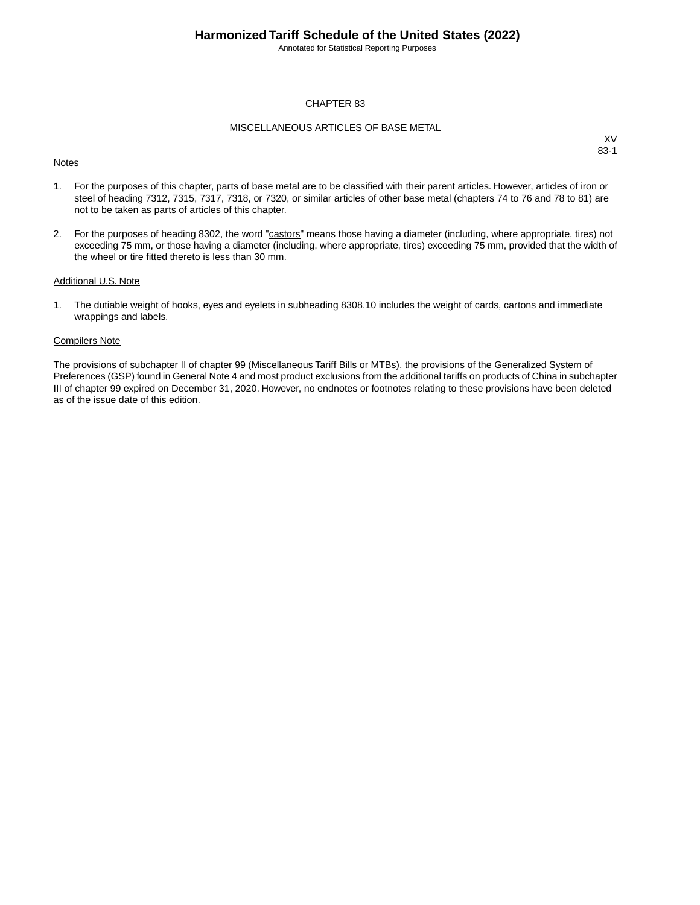Annotated for Statistical Reporting Purposes

#### CHAPTER 83

#### MISCELLANEOUS ARTICLES OF BASE METAL

#### **Notes**

XV 83-1

- 1. For the purposes of this chapter, parts of base metal are to be classified with their parent articles. However, articles of iron or steel of heading 7312, 7315, 7317, 7318, or 7320, or similar articles of other base metal (chapters 74 to 76 and 78 to 81) are not to be taken as parts of articles of this chapter.
- 2. For the purposes of heading 8302, the word "castors" means those having a diameter (including, where appropriate, tires) not exceeding 75 mm, or those having a diameter (including, where appropriate, tires) exceeding 75 mm, provided that the width of the wheel or tire fitted thereto is less than 30 mm.

#### Additional U.S. Note

1. The dutiable weight of hooks, eyes and eyelets in subheading 8308.10 includes the weight of cards, cartons and immediate wrappings and labels.

#### Compilers Note

The provisions of subchapter II of chapter 99 (Miscellaneous Tariff Bills or MTBs), the provisions of the Generalized System of Preferences (GSP) found in General Note 4 and most product exclusions from the additional tariffs on products of China in subchapter III of chapter 99 expired on December 31, 2020. However, no endnotes or footnotes relating to these provisions have been deleted as of the issue date of this edition.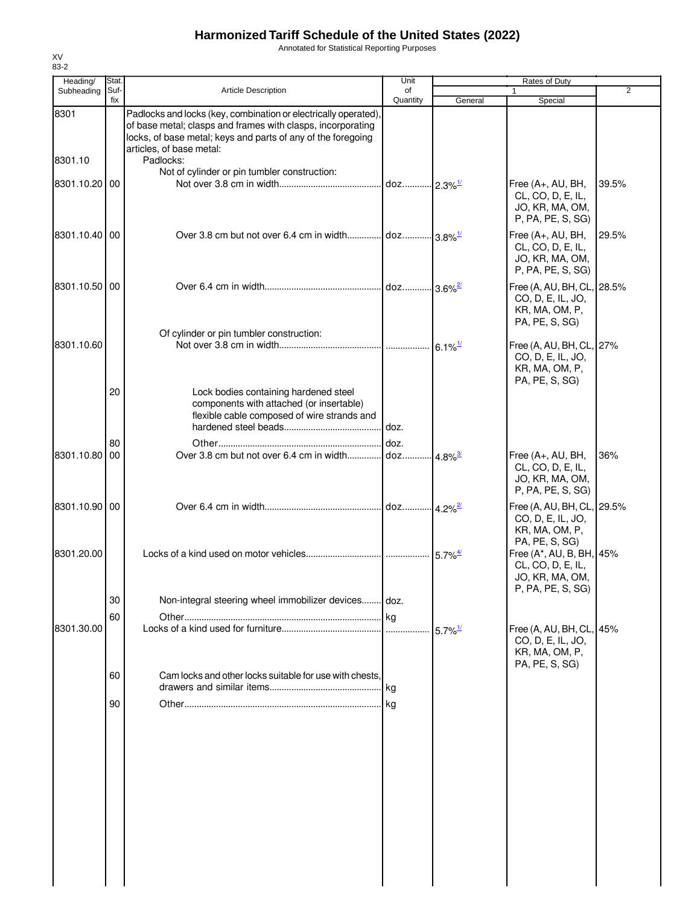Annotated for Statistical Reporting Purposes

| Heading/        | Stat.       |                                                                                                                                                                                                                                         | Unit                           |                                             | Rates of Duty                                                                       |       |
|-----------------|-------------|-----------------------------------------------------------------------------------------------------------------------------------------------------------------------------------------------------------------------------------------|--------------------------------|---------------------------------------------|-------------------------------------------------------------------------------------|-------|
| Subheading      | Suf-<br>fix | <b>Article Description</b>                                                                                                                                                                                                              | of<br>Quantity                 | General                                     | 1<br>Special                                                                        | 2     |
| 8301<br>8301.10 |             | Padlocks and locks (key, combination or electrically operated),<br>of base metal; clasps and frames with clasps, incorporating<br>locks, of base metal; keys and parts of any of the foregoing<br>articles, of base metal:<br>Padlocks: |                                |                                             |                                                                                     |       |
| 8301.10.20 00   |             | Not of cylinder or pin tumbler construction:                                                                                                                                                                                            | doz 2.3% <sup>1/</sup>         |                                             | Free (A+, AU, BH,<br>CL, CO, D, E, IL,<br>JO, KR, MA, OM,<br>P, PA, PE, S, SG)      | 39.5% |
| 8301.10.40 00   |             |                                                                                                                                                                                                                                         |                                |                                             | Free (A+, AU, BH,<br>CL, CO, D, E, IL,<br>JO, KR, MA, OM,<br>P, PA, PE, S, SG)      | 29.5% |
| 8301.10.50 00   |             |                                                                                                                                                                                                                                         | . doz 3.6% <sup>2/</sup>       |                                             | Free (A, AU, BH, CL, 28.5%<br>CO, D, E, IL, JO,<br>KR, MA, OM, P,<br>PA, PE, S, SG) |       |
| 8301.10.60      |             | Of cylinder or pin tumbler construction:                                                                                                                                                                                                |                                | $6.1\%$ <sup><math>\frac{1}{2}</math></sup> | Free (A, AU, BH, CL, 27%<br>CO, D, E, IL, JO,<br>KR, MA, OM, P,<br>PA, PE, S, SG)   |       |
|                 | 20          | Lock bodies containing hardened steel<br>components with attached (or insertable)<br>flexible cable composed of wire strands and                                                                                                        | doz.                           |                                             |                                                                                     |       |
| 8301.10.80 00   | 80          | Over 3.8 cm but not over 6.4 cm in width                                                                                                                                                                                                | doz.<br>doz 4.8% <sup>3/</sup> |                                             | Free (A+, AU, BH,<br>CL, CO, D, E, IL,<br>JO, KR, MA, OM,<br>P, PA, PE, S, SG)      | 36%   |
| 8301.10.90 00   |             |                                                                                                                                                                                                                                         | doz 4.2% <sup>2/</sup>         |                                             | Free (A, AU, BH, CL, 29.5%<br>CO, D, E, IL, JO,<br>KR, MA, OM, P,                   |       |
| 8301.20.00      |             |                                                                                                                                                                                                                                         |                                |                                             | PA, PE, S, SG)<br>Free (A*, AU, B, BH, 45%<br>CL, CO, D, E, IL,<br>JO, KR, MA, OM,  |       |
|                 | 30          | Non-integral steering wheel immobilizer devices doz.                                                                                                                                                                                    |                                |                                             | P, PA, PE, S, SG)                                                                   |       |
|                 | 60          |                                                                                                                                                                                                                                         |                                |                                             |                                                                                     |       |
| 8301.30.00      |             |                                                                                                                                                                                                                                         |                                | $5.7\%$ <sup>1/</sup>                       | Free (A, AU, BH, CL, 45%<br>CO, D, E, IL, JO,<br>KR, MA, OM, P,<br>PA, PE, S, SG)   |       |
|                 | 60          | Cam locks and other locks suitable for use with chests,                                                                                                                                                                                 | .Ikg                           |                                             |                                                                                     |       |
|                 | 90          |                                                                                                                                                                                                                                         |                                |                                             |                                                                                     |       |
|                 |             |                                                                                                                                                                                                                                         |                                |                                             |                                                                                     |       |
|                 |             |                                                                                                                                                                                                                                         |                                |                                             |                                                                                     |       |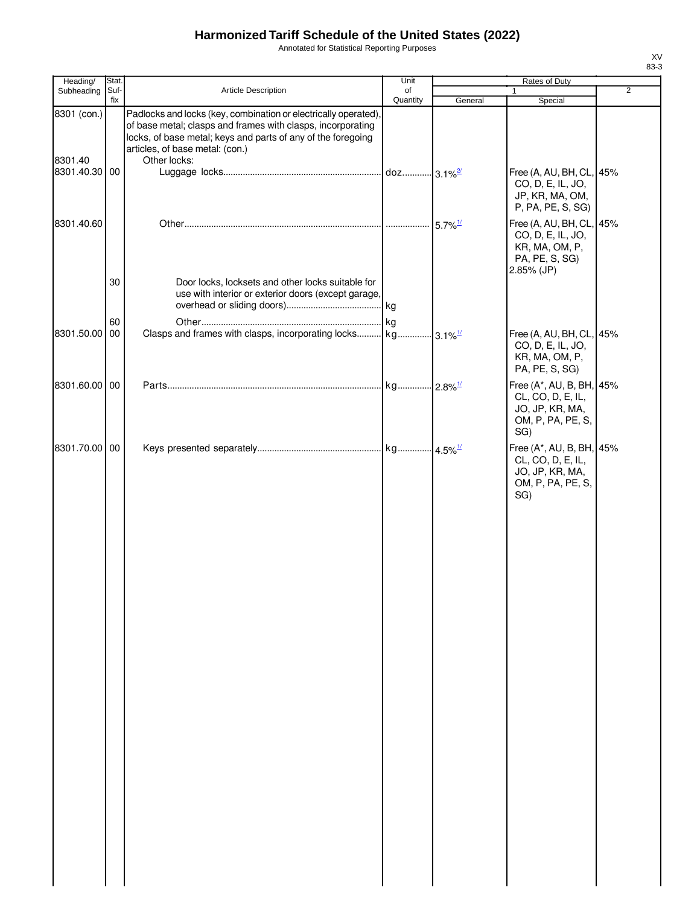Annotated for Statistical Reporting Purposes

| Heading/                 | Stat. |                                                                                                                                                                                                                                   | Unit     |                       | Rates of Duty                                                                                   |                |
|--------------------------|-------|-----------------------------------------------------------------------------------------------------------------------------------------------------------------------------------------------------------------------------------|----------|-----------------------|-------------------------------------------------------------------------------------------------|----------------|
| Subheading               | Suf-  | Article Description                                                                                                                                                                                                               | of       |                       |                                                                                                 | $\overline{2}$ |
| 8301 (con.)              | fix   | Padlocks and locks (key, combination or electrically operated),<br>of base metal; clasps and frames with clasps, incorporating<br>locks, of base metal; keys and parts of any of the foregoing<br>articles, of base metal: (con.) | Quantity | General               | Special                                                                                         |                |
| 8301.40<br>8301.40.30 00 |       | Other locks:                                                                                                                                                                                                                      |          |                       | Free (A, AU, BH, CL, 45%<br>CO, D, E, IL, JO,<br>JP, KR, MA, OM,<br>P, PA, PE, S, SG)           |                |
| 8301.40.60               |       |                                                                                                                                                                                                                                   |          | $5.7\%$ <sup>1/</sup> | Free (A, AU, BH, CL, 45%<br>CO, D, E, IL, JO,<br>KR, MA, OM, P,<br>PA, PE, S, SG)<br>2.85% (JP) |                |
|                          | 30    | Door locks, locksets and other locks suitable for<br>use with interior or exterior doors (except garage,                                                                                                                          |          |                       |                                                                                                 |                |
| 8301.50.00 00            | 60    |                                                                                                                                                                                                                                   | kg       |                       | Free (A, AU, BH, CL, 45%<br>CO, D, E, IL, JO,<br>KR, MA, OM, P,<br>PA, PE, S, SG)               |                |
| 8301.60.00 00            |       |                                                                                                                                                                                                                                   |          |                       | Free (A*, AU, B, BH, 45%<br>CL, CO, D, E, IL,<br>JO, JP, KR, MA,<br>OM, P, PA, PE, S,<br>SG)    |                |
| 8301.70.00 00            |       |                                                                                                                                                                                                                                   |          |                       | Free (A*, AU, B, BH, 45%<br>CL, CO, D, E, IL,<br>JO, JP, KR, MA,<br>OM, P, PA, PE, S,<br>SG)    |                |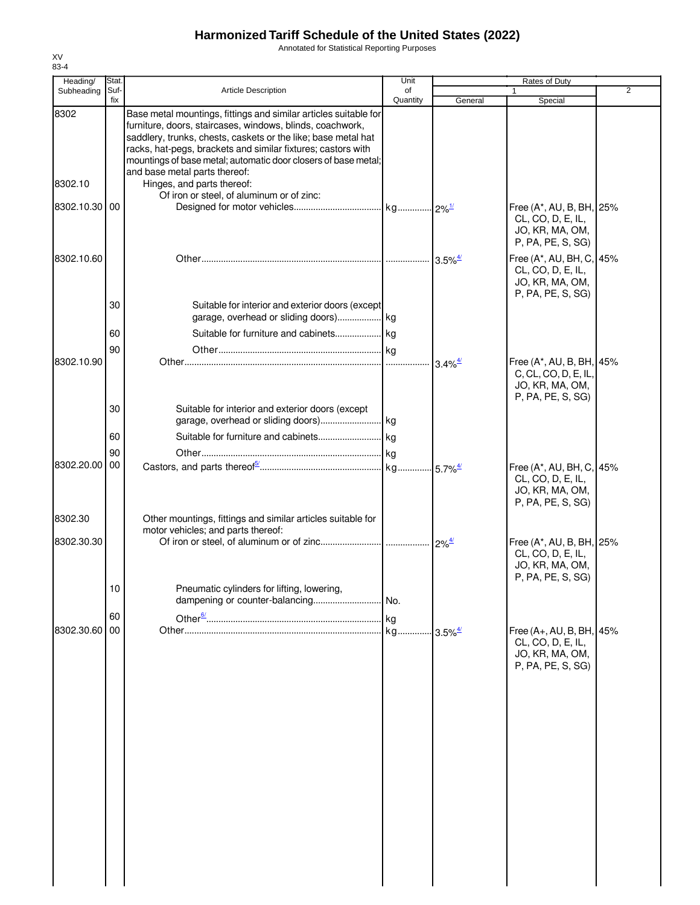Annotated for Statistical Reporting Purposes

| Heading/        | Stat.       |                                                                                                                                                                                                                                                                                                                                                                                                 | Unit           |                                             | Rates of Duty                                                                                              |                |
|-----------------|-------------|-------------------------------------------------------------------------------------------------------------------------------------------------------------------------------------------------------------------------------------------------------------------------------------------------------------------------------------------------------------------------------------------------|----------------|---------------------------------------------|------------------------------------------------------------------------------------------------------------|----------------|
| Subheading      | Suf-<br>fix | <b>Article Description</b>                                                                                                                                                                                                                                                                                                                                                                      | of<br>Quantity | General                                     | 1.<br>Special                                                                                              | $\overline{2}$ |
| 8302<br>8302.10 |             | Base metal mountings, fittings and similar articles suitable for<br>furniture, doors, staircases, windows, blinds, coachwork,<br>saddlery, trunks, chests, caskets or the like; base metal hat<br>racks, hat-pegs, brackets and similar fixtures; castors with<br>mountings of base metal; automatic door closers of base metal;<br>and base metal parts thereof:<br>Hinges, and parts thereof: |                |                                             |                                                                                                            |                |
| 8302.10.30 00   |             | Of iron or steel, of aluminum or of zinc:                                                                                                                                                                                                                                                                                                                                                       |                |                                             | Free (A*, AU, B, BH, 25%<br>CL, CO, D, E, IL,<br>JO, KR, MA, OM,                                           |                |
| 8302.10.60      |             |                                                                                                                                                                                                                                                                                                                                                                                                 |                |                                             | P, PA, PE, S, SG)<br>Free (A*, AU, BH, C, 45%<br>CL, CO, D, E, IL,<br>JO, KR, MA, OM,<br>P, PA, PE, S, SG) |                |
|                 | 30          | Suitable for interior and exterior doors (except<br>garage, overhead or sliding doors) kg                                                                                                                                                                                                                                                                                                       |                |                                             |                                                                                                            |                |
|                 | 60          |                                                                                                                                                                                                                                                                                                                                                                                                 |                |                                             |                                                                                                            |                |
| 8302.10.90      | 90          |                                                                                                                                                                                                                                                                                                                                                                                                 |                | $3.4\%$ <sup><math>\frac{4}{3}</math></sup> | Free (A*, AU, B, BH, 45%<br>C, CL, CO, D, E, IL,<br>JO, KR, MA, OM,<br>P, PA, PE, S, SG)                   |                |
|                 | 30<br>60    | Suitable for interior and exterior doors (except                                                                                                                                                                                                                                                                                                                                                |                |                                             |                                                                                                            |                |
|                 |             |                                                                                                                                                                                                                                                                                                                                                                                                 |                |                                             |                                                                                                            |                |
| 8302.20.00      | 90<br>00    |                                                                                                                                                                                                                                                                                                                                                                                                 |                |                                             | Free (A*, AU, BH, C, 45%<br>CL, CO, D, E, IL,<br>JO, KR, MA, OM,<br>P, PA, PE, S, SG)                      |                |
| 8302.30         |             | Other mountings, fittings and similar articles suitable for                                                                                                                                                                                                                                                                                                                                     |                |                                             |                                                                                                            |                |
| 8302.30.30      | 10          | motor vehicles; and parts thereof:<br>Pneumatic cylinders for lifting, lowering,                                                                                                                                                                                                                                                                                                                |                |                                             | Free (A*, AU, B, BH, 25%<br>CL, CO, D, E, IL,<br>JO, KR, MA, OM,<br>P, PA, PE, S, SG)                      |                |
|                 |             |                                                                                                                                                                                                                                                                                                                                                                                                 |                |                                             |                                                                                                            |                |
| 8302.30.60      | 60<br>00    |                                                                                                                                                                                                                                                                                                                                                                                                 | . kg           |                                             | Free (A+, AU, B, BH, 45%<br>CL, CO, D, E, IL,<br>JO, KR, MA, OM,<br>P, PA, PE, S, SG)                      |                |
|                 |             |                                                                                                                                                                                                                                                                                                                                                                                                 |                |                                             |                                                                                                            |                |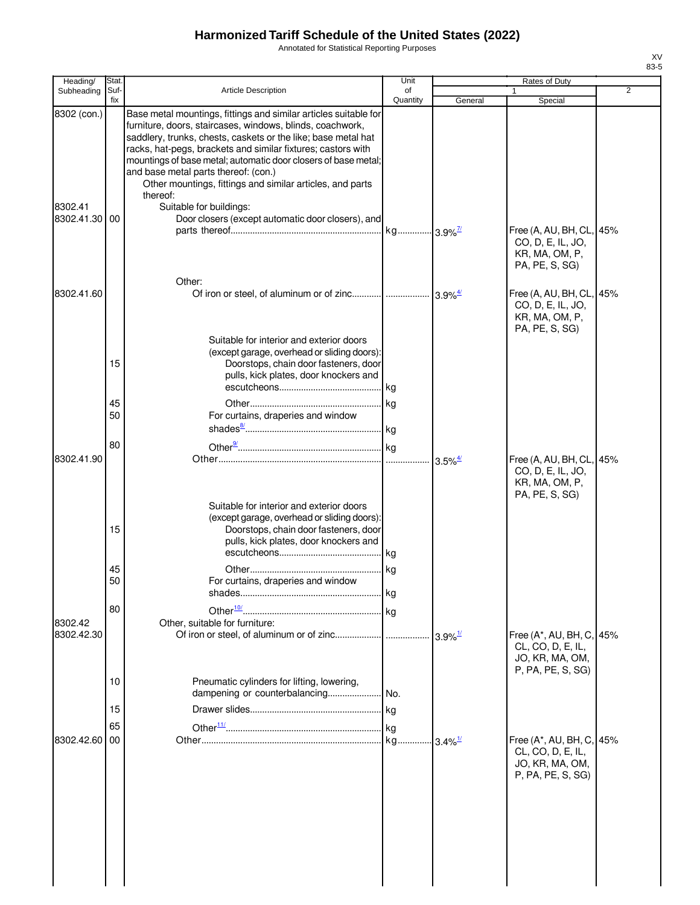Annotated for Statistical Reporting Purposes

| Heading/                             | <b>Stat</b>          |                                                                                                                                                                                                                                                                                                                                                                                                                                                                                                                                   | Unit           |                       | Rates of Duty                                                                                       |     |
|--------------------------------------|----------------------|-----------------------------------------------------------------------------------------------------------------------------------------------------------------------------------------------------------------------------------------------------------------------------------------------------------------------------------------------------------------------------------------------------------------------------------------------------------------------------------------------------------------------------------|----------------|-----------------------|-----------------------------------------------------------------------------------------------------|-----|
| Subheading                           | Suf-<br>fix          | <b>Article Description</b>                                                                                                                                                                                                                                                                                                                                                                                                                                                                                                        | of<br>Quantity | General               | 1<br>Special                                                                                        | 2   |
| 8302 (con.)<br>8302.41<br>8302.41.30 | 00                   | Base metal mountings, fittings and similar articles suitable for<br>furniture, doors, staircases, windows, blinds, coachwork,<br>saddlery, trunks, chests, caskets or the like; base metal hat<br>racks, hat-pegs, brackets and similar fixtures; castors with<br>mountings of base metal; automatic door closers of base metal;<br>and base metal parts thereof: (con.)<br>Other mountings, fittings and similar articles, and parts<br>thereof:<br>Suitable for buildings:<br>Door closers (except automatic door closers), and |                |                       | Free (A, AU, BH, CL,<br>CO, D, E, IL, JO,                                                           | 45% |
| 8302.41.60                           |                      | Other:                                                                                                                                                                                                                                                                                                                                                                                                                                                                                                                            |                |                       | KR, MA, OM, P,<br>PA, PE, S, SG)<br>Free (A, AU, BH, CL, 45%<br>CO, D, E, IL, JO,<br>KR, MA, OM, P, |     |
|                                      | 15<br>45<br>50<br>80 | Suitable for interior and exterior doors<br>(except garage, overhead or sliding doors):<br>Doorstops, chain door fasteners, door<br>pulls, kick plates, door knockers and<br>For curtains, draperies and window                                                                                                                                                                                                                                                                                                                   |                |                       | PA, PE, S, SG)                                                                                      |     |
| 8302.41.90                           | 15                   | Suitable for interior and exterior doors<br>(except garage, overhead or sliding doors):<br>Doorstops, chain door fasteners, door<br>pulls, kick plates, door knockers and                                                                                                                                                                                                                                                                                                                                                         |                |                       | Free (A, AU, BH, CL,<br>CO, D, E, IL, JO,<br>KR, MA, OM, P,<br>PA, PE, S, SG)                       | 45% |
| 8302.42<br>8302.42.30                | 45<br>50<br>80       | For curtains, draperies and window<br>Other, suitable for furniture:                                                                                                                                                                                                                                                                                                                                                                                                                                                              |                | $3.9\%$ <sup>1/</sup> | Free (A*, AU, BH, C, 45%                                                                            |     |
|                                      | 10<br>15<br>65       | Pneumatic cylinders for lifting, lowering,                                                                                                                                                                                                                                                                                                                                                                                                                                                                                        |                |                       | CL, CO, D, E, IL,<br>JO, KR, MA, OM,<br>P, PA, PE, S, SG)                                           |     |
| 8302.42.60                           | 00                   |                                                                                                                                                                                                                                                                                                                                                                                                                                                                                                                                   |                |                       | Free (A*, AU, BH, C,<br>CL, CO, D, E, IL,<br>JO, KR, MA, OM,<br>P, PA, PE, S, SG)                   | 45% |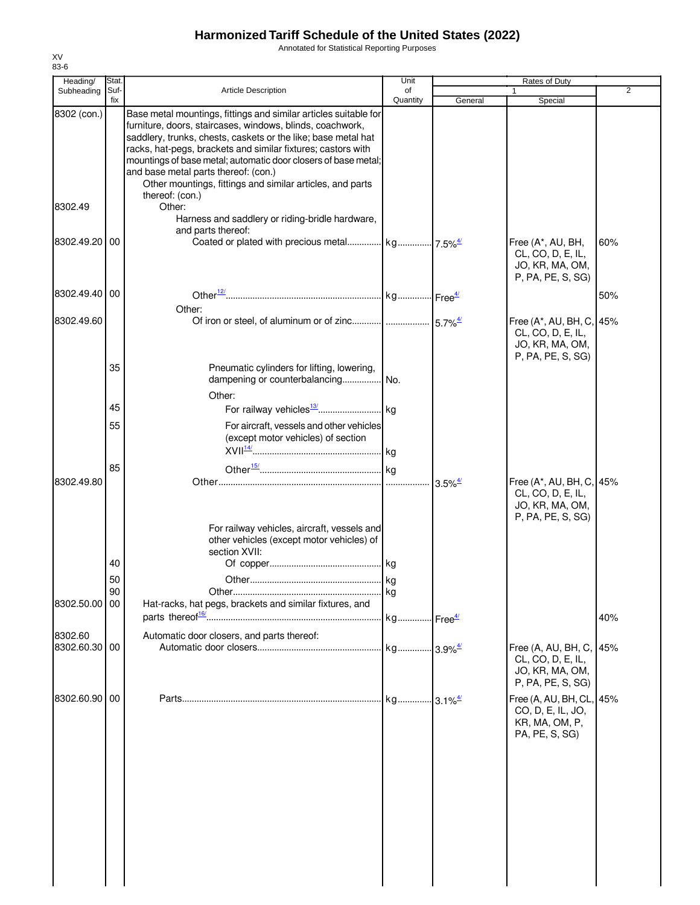Annotated for Statistical Reporting Purposes

| Heading/                 | Stat. |                                                                                                                                                                                                                                                                                                                                                                                                                                       | Unit     |                                             | Rates of Duty                                                                         |                |
|--------------------------|-------|---------------------------------------------------------------------------------------------------------------------------------------------------------------------------------------------------------------------------------------------------------------------------------------------------------------------------------------------------------------------------------------------------------------------------------------|----------|---------------------------------------------|---------------------------------------------------------------------------------------|----------------|
| Subheading               | Suf-  | <b>Article Description</b>                                                                                                                                                                                                                                                                                                                                                                                                            | of       |                                             |                                                                                       | $\overline{2}$ |
| 8302 (con.)              | fix   | Base metal mountings, fittings and similar articles suitable for<br>furniture, doors, staircases, windows, blinds, coachwork,<br>saddlery, trunks, chests, caskets or the like; base metal hat<br>racks, hat-pegs, brackets and similar fixtures; castors with<br>mountings of base metal; automatic door closers of base metal;<br>and base metal parts thereof: (con.)<br>Other mountings, fittings and similar articles, and parts | Quantity | General                                     | Special                                                                               |                |
| 8302.49                  |       | thereof: (con.)<br>Other:<br>Harness and saddlery or riding-bridle hardware,                                                                                                                                                                                                                                                                                                                                                          |          |                                             |                                                                                       |                |
| 8302.49.20               | 00    | and parts thereof:                                                                                                                                                                                                                                                                                                                                                                                                                    |          |                                             | Free (A*, AU, BH,<br>CL, CO, D, E, IL,<br>JO, KR, MA, OM,<br>P, PA, PE, S, SG)        | 60%            |
| 8302.49.40               | 00    | Other:                                                                                                                                                                                                                                                                                                                                                                                                                                |          |                                             |                                                                                       | 50%            |
| 8302.49.60               |       |                                                                                                                                                                                                                                                                                                                                                                                                                                       |          |                                             | Free (A*, AU, BH, C, 45%<br>CL, CO, D, E, IL,<br>JO, KR, MA, OM,<br>P, PA, PE, S, SG) |                |
|                          | 35    | Pneumatic cylinders for lifting, lowering,<br>dampening or counterbalancing No.<br>Other:                                                                                                                                                                                                                                                                                                                                             |          |                                             |                                                                                       |                |
|                          | 45    |                                                                                                                                                                                                                                                                                                                                                                                                                                       |          |                                             |                                                                                       |                |
|                          | 55    | For aircraft, vessels and other vehicles<br>(except motor vehicles) of section                                                                                                                                                                                                                                                                                                                                                        |          |                                             |                                                                                       |                |
|                          | 85    |                                                                                                                                                                                                                                                                                                                                                                                                                                       |          |                                             |                                                                                       |                |
| 8302.49.80               |       | For railway vehicles, aircraft, vessels and<br>other vehicles (except motor vehicles) of<br>section XVII:                                                                                                                                                                                                                                                                                                                             |          | $3.5\%$ <sup><math>\frac{4}{3}</math></sup> | Free (A*, AU, BH, C, 45%<br>CL, CO, D, E, IL,<br>JO, KR, MA, OM,<br>P, PA, PE, S, SG) |                |
|                          | 40    |                                                                                                                                                                                                                                                                                                                                                                                                                                       |          |                                             |                                                                                       |                |
|                          | 50    |                                                                                                                                                                                                                                                                                                                                                                                                                                       |          |                                             |                                                                                       |                |
|                          | 90    |                                                                                                                                                                                                                                                                                                                                                                                                                                       | kg       |                                             |                                                                                       |                |
| 8302.50.00 00            |       | Hat-racks, hat pegs, brackets and similar fixtures, and                                                                                                                                                                                                                                                                                                                                                                               |          |                                             |                                                                                       | 40%            |
| 8302.60<br>8302.60.30 00 |       | Automatic door closers, and parts thereof:                                                                                                                                                                                                                                                                                                                                                                                            |          |                                             | Free (A, AU, BH, C, 45%<br>CL, CO, D, E, IL,<br>JO, KR, MA, OM,<br>P, PA, PE, S, SG)  |                |
| 8302.60.90               | 00    |                                                                                                                                                                                                                                                                                                                                                                                                                                       |          |                                             | Free (A, AU, BH, CL, 45%<br>CO, D, E, IL, JO,<br>KR, MA, OM, P,<br>PA, PE, S, SG)     |                |
|                          |       |                                                                                                                                                                                                                                                                                                                                                                                                                                       |          |                                             |                                                                                       |                |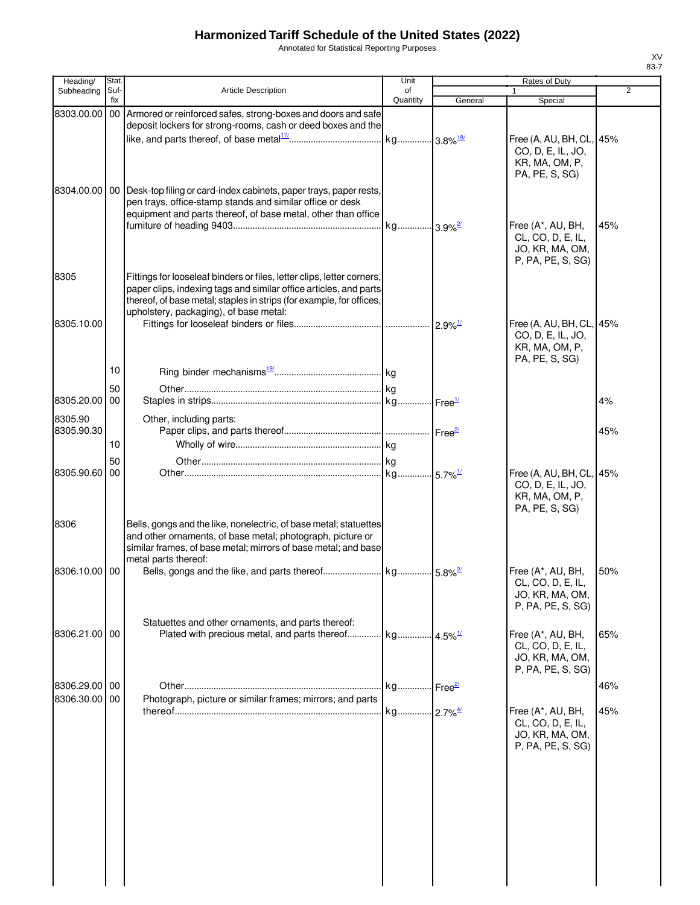Annotated for Statistical Reporting Purposes

| Heading/                    | Stat.       |                                                                                                                                                                                                                                                               | Unit                              |         | Rates of Duty                                                                     |                |
|-----------------------------|-------------|---------------------------------------------------------------------------------------------------------------------------------------------------------------------------------------------------------------------------------------------------------------|-----------------------------------|---------|-----------------------------------------------------------------------------------|----------------|
| Subheading                  | Suf-<br>fix | Article Description                                                                                                                                                                                                                                           | of<br>Quantity                    | General | $\mathbf{1}$<br>Special                                                           | $\overline{2}$ |
| 8303.00.00                  |             | 00 Armored or reinforced safes, strong-boxes and doors and safe<br>deposit lockers for strong-rooms, cash or deed boxes and the                                                                                                                               |                                   |         |                                                                                   |                |
|                             |             |                                                                                                                                                                                                                                                               |                                   |         | Free (A, AU, BH, CL, 45%<br>CO, D, E, IL, JO,<br>KR, MA, OM, P,<br>PA, PE, S, SG) |                |
|                             |             | 8304.00.00   00   Desk-top filing or card-index cabinets, paper trays, paper rests,<br>pen trays, office-stamp stands and similar office or desk<br>equipment and parts thereof, of base metal, other than office                                             |                                   |         |                                                                                   |                |
|                             |             |                                                                                                                                                                                                                                                               | kg 3.9% <sup>2/</sup>             |         | Free (A*, AU, BH,<br>CL, CO, D, E, IL,<br>JO, KR, MA, OM,<br>P, PA, PE, S, SG)    | 45%            |
| 8305                        |             | Fittings for looseleaf binders or files, letter clips, letter corners,<br>paper clips, indexing tags and similar office articles, and parts<br>thereof, of base metal; staples in strips (for example, for offices,<br>upholstery, packaging), of base metal: |                                   |         |                                                                                   |                |
| 8305.10.00                  |             |                                                                                                                                                                                                                                                               |                                   |         | Free (A, AU, BH, CL, 45%<br>CO, D, E, IL, JO,<br>KR, MA, OM, P,<br>PA, PE, S, SG) |                |
|                             | 10          |                                                                                                                                                                                                                                                               |                                   |         |                                                                                   |                |
| 8305.20.00                  | 50<br>00    |                                                                                                                                                                                                                                                               |                                   |         |                                                                                   | 4%             |
| 8305.90<br>8305.90.30       |             | Other, including parts:                                                                                                                                                                                                                                       |                                   |         |                                                                                   | 45%            |
|                             | 10          |                                                                                                                                                                                                                                                               |                                   |         |                                                                                   |                |
| 8305.90.60                  | 50<br>00    |                                                                                                                                                                                                                                                               |                                   |         | Free (A, AU, BH, CL, 45%<br>CO, D, E, IL, JO,<br>KR, MA, OM, P,<br>PA, PE, S, SG) |                |
| 8306                        |             | Bells, gongs and the like, nonelectric, of base metal; statuettes<br>and other ornaments, of base metal; photograph, picture or<br>similar frames, of base metal; mirrors of base metal; and base<br>metal parts thereof:                                     |                                   |         |                                                                                   |                |
| 8306.10.00 00               |             |                                                                                                                                                                                                                                                               |                                   |         | Free (A*, AU, BH,<br>CL, CO, D, E, IL,<br>JO, KR, MA, OM,<br>P, PA, PE, S, SG)    | 50%            |
| 8306.21.00 00               |             | Statuettes and other ornaments, and parts thereof:<br>Plated with precious metal, and parts thereof                                                                                                                                                           | kg 4.5% <sup>1/</sup>             |         | Free (A*, AU, BH,<br>CL, CO, D, E, IL,<br>JO, KR, MA, OM,<br>P, PA, PE, S, SG)    | 65%            |
| 8306.29.00 00<br>8306.30.00 | 00          | Photograph, picture or similar frames; mirrors; and parts                                                                                                                                                                                                     | kg  <sub>Free</sub> <sup>2</sup>  |         |                                                                                   | 46%            |
|                             |             |                                                                                                                                                                                                                                                               | kg <mark>2.7%<sup>4/</sup></mark> |         | Free (A*, AU, BH,<br>CL, CO, D, E, IL,<br>JO, KR, MA, OM,<br>P, PA, PE, S, SG)    | 45%            |
|                             |             |                                                                                                                                                                                                                                                               |                                   |         |                                                                                   |                |
|                             |             |                                                                                                                                                                                                                                                               |                                   |         |                                                                                   |                |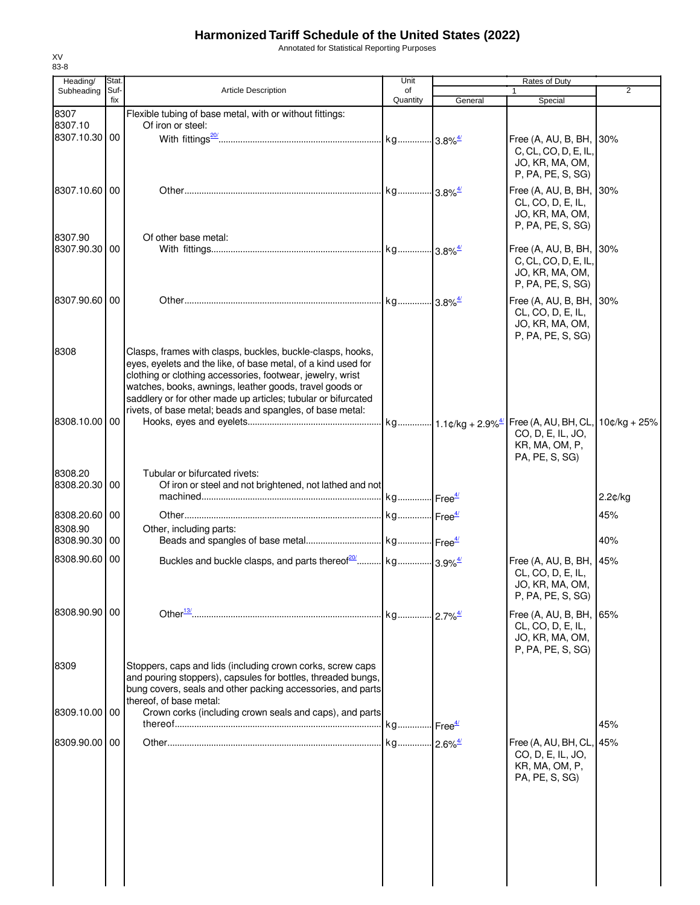Annotated for Statistical Reporting Purposes

| Heading/                 | Stat.       |                                                                                                                          | Unit           |         | <b>Rates of Duty</b>                         |                |
|--------------------------|-------------|--------------------------------------------------------------------------------------------------------------------------|----------------|---------|----------------------------------------------|----------------|
| Subheading               | Suf-<br>fix | <b>Article Description</b>                                                                                               | of<br>Quantity | General | $\mathbf{1}$<br>Special                      | $\overline{2}$ |
| 8307                     |             | Flexible tubing of base metal, with or without fittings:                                                                 |                |         |                                              |                |
| 8307.10                  |             | Of iron or steel:                                                                                                        |                |         |                                              |                |
| 8307.10.30 00            |             |                                                                                                                          |                |         | Free (A, AU, B, BH, 30%                      |                |
|                          |             |                                                                                                                          |                |         | C, CL, CO, D, E, IL,                         |                |
|                          |             |                                                                                                                          |                |         | JO, KR, MA, OM,                              |                |
|                          |             |                                                                                                                          |                |         | P, PA, PE, S, SG)                            |                |
| 8307.10.60 00            |             |                                                                                                                          |                |         | Free (A, AU, B, BH,                          | 30%            |
|                          |             |                                                                                                                          |                |         | CL, CO, D, E, IL,<br>JO, KR, MA, OM,         |                |
|                          |             |                                                                                                                          |                |         | P, PA, PE, S, SG)                            |                |
| 8307.90                  |             | Of other base metal:                                                                                                     |                |         |                                              |                |
| 8307.90.30 00            |             |                                                                                                                          |                |         | Free (A, AU, B, BH, 30%                      |                |
|                          |             |                                                                                                                          |                |         | C, CL, CO, D, E, IL,                         |                |
|                          |             |                                                                                                                          |                |         | JO, KR, MA, OM,<br>P, PA, PE, S, SG)         |                |
| 8307.90.60 00            |             |                                                                                                                          |                |         | Free (A, AU, B, BH, 30%                      |                |
|                          |             |                                                                                                                          |                |         | CL, CO, D, E, IL,                            |                |
|                          |             |                                                                                                                          |                |         | JO, KR, MA, OM,                              |                |
|                          |             |                                                                                                                          |                |         | P, PA, PE, S, SG)                            |                |
| 8308                     |             | Clasps, frames with clasps, buckles, buckle-clasps, hooks,                                                               |                |         |                                              |                |
|                          |             | eyes, eyelets and the like, of base metal, of a kind used for                                                            |                |         |                                              |                |
|                          |             | clothing or clothing accessories, footwear, jewelry, wrist                                                               |                |         |                                              |                |
|                          |             | watches, books, awnings, leather goods, travel goods or<br>saddlery or for other made up articles; tubular or bifurcated |                |         |                                              |                |
|                          |             | rivets, of base metal; beads and spangles, of base metal:                                                                |                |         |                                              |                |
| 8308.10.00 00            |             |                                                                                                                          |                |         |                                              |                |
|                          |             |                                                                                                                          |                |         | CO, D, E, IL, JO,                            |                |
|                          |             |                                                                                                                          |                |         | KR, MA, OM, P,                               |                |
|                          |             |                                                                                                                          |                |         | PA, PE, S, SG)                               |                |
| 8308.20                  |             | Tubular or bifurcated rivets:                                                                                            |                |         |                                              |                |
| 8308.20.30 00            |             | Of iron or steel and not brightened, not lathed and not                                                                  |                |         |                                              | 2.2¢/kg        |
|                          |             |                                                                                                                          |                |         |                                              |                |
| 8308.20.60 00            |             |                                                                                                                          |                |         |                                              | 45%            |
| 8308.90<br>8308.90.30 00 |             | Other, including parts:                                                                                                  |                |         |                                              | 40%            |
|                          |             |                                                                                                                          |                |         |                                              |                |
| 8308.90.60 00            |             |                                                                                                                          |                |         | Free (A, AU, B, BH, 45%                      |                |
|                          |             |                                                                                                                          |                |         | CL, CO, D, E, IL,<br>JO, KR, MA, OM,         |                |
|                          |             |                                                                                                                          |                |         | P, PA, PE, S, SG)                            |                |
| 8308.90.90 00            |             |                                                                                                                          |                |         |                                              |                |
|                          |             |                                                                                                                          |                |         | Free (A, AU, B, BH, 65%<br>CL, CO, D, E, IL, |                |
|                          |             |                                                                                                                          |                |         | JO, KR, MA, OM,                              |                |
|                          |             |                                                                                                                          |                |         | P, PA, PE, S, SG)                            |                |
| 8309                     |             | Stoppers, caps and lids (including crown corks, screw caps                                                               |                |         |                                              |                |
|                          |             | and pouring stoppers), capsules for bottles, threaded bungs,                                                             |                |         |                                              |                |
|                          |             | bung covers, seals and other packing accessories, and parts                                                              |                |         |                                              |                |
| 8309.10.00 00            |             | thereof, of base metal:<br>Crown corks (including crown seals and caps), and parts                                       |                |         |                                              |                |
|                          |             |                                                                                                                          |                |         |                                              | 45%            |
| 8309.90.00 00            |             |                                                                                                                          |                |         | Free (A, AU, BH, CL, 45%                     |                |
|                          |             |                                                                                                                          |                |         | CO, D, E, IL, JO,                            |                |
|                          |             |                                                                                                                          |                |         | KR, MA, OM, P,                               |                |
|                          |             |                                                                                                                          |                |         | PA, PE, S, SG)                               |                |
|                          |             |                                                                                                                          |                |         |                                              |                |
|                          |             |                                                                                                                          |                |         |                                              |                |
|                          |             |                                                                                                                          |                |         |                                              |                |
|                          |             |                                                                                                                          |                |         |                                              |                |
|                          |             |                                                                                                                          |                |         |                                              |                |
|                          |             |                                                                                                                          |                |         |                                              |                |
|                          |             |                                                                                                                          |                |         |                                              |                |
|                          |             |                                                                                                                          |                |         |                                              |                |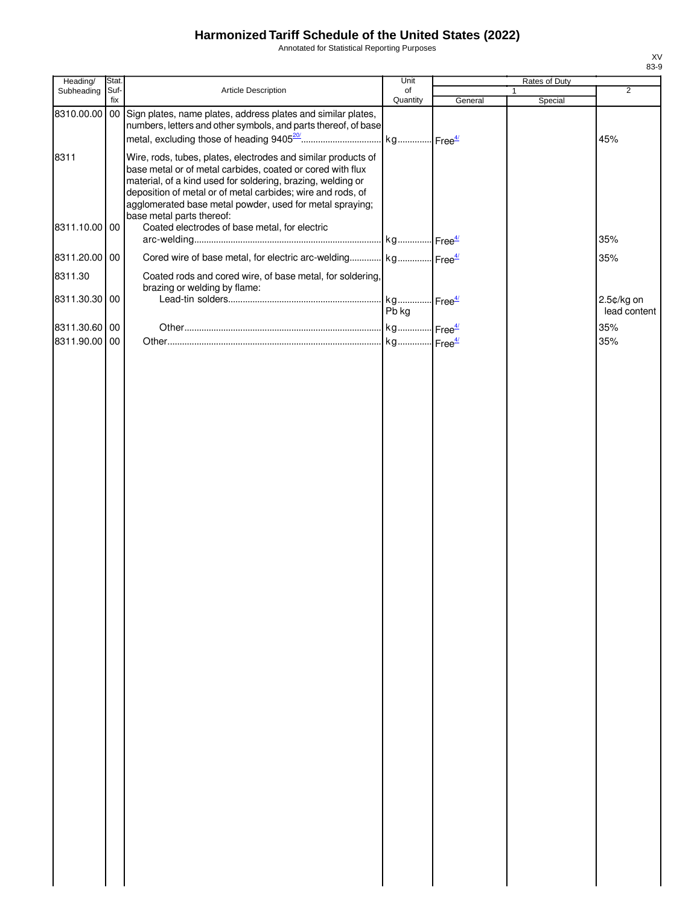Annotated for Statistical Reporting Purposes

| Heading/      | Stat.       |                                                                                                                                                                                                                                                                                                                                                    | Unit                  |         | Rates of Duty           |                |
|---------------|-------------|----------------------------------------------------------------------------------------------------------------------------------------------------------------------------------------------------------------------------------------------------------------------------------------------------------------------------------------------------|-----------------------|---------|-------------------------|----------------|
| Subheading    | Suf-<br>fix | Article Description                                                                                                                                                                                                                                                                                                                                | of<br>Quantity        | General | $\mathbf{1}$<br>Special | $\overline{2}$ |
| 8310.00.00    |             | 00 Sign plates, name plates, address plates and similar plates,<br>numbers, letters and other symbols, and parts thereof, of base                                                                                                                                                                                                                  | kg Free <sup>4/</sup> |         |                         | 45%            |
| 8311          |             | Wire, rods, tubes, plates, electrodes and similar products of<br>base metal or of metal carbides, coated or cored with flux<br>material, of a kind used for soldering, brazing, welding or<br>deposition of metal or of metal carbides; wire and rods, of<br>agglomerated base metal powder, used for metal spraying;<br>base metal parts thereof: |                       |         |                         |                |
| 8311.10.00 00 |             | Coated electrodes of base metal, for electric                                                                                                                                                                                                                                                                                                      |                       |         |                         | 35%            |
| 8311.20.00 00 |             | Cored wire of base metal, for electric arc-welding kg Free <sup>4/</sup>                                                                                                                                                                                                                                                                           |                       |         |                         | 35%            |
| 8311.30       |             | Coated rods and cored wire, of base metal, for soldering,<br>brazing or welding by flame:                                                                                                                                                                                                                                                          |                       |         |                         |                |
| 8311.30.30 00 |             |                                                                                                                                                                                                                                                                                                                                                    | kg Free <sup>4/</sup> |         |                         | 2.5¢/kg on     |
|               |             |                                                                                                                                                                                                                                                                                                                                                    | Pb kg                 |         |                         | lead content   |
| 8311.30.60 00 |             |                                                                                                                                                                                                                                                                                                                                                    |                       |         |                         | 35%            |
| 8311.90.00 00 |             |                                                                                                                                                                                                                                                                                                                                                    | kg Free <sup>4/</sup> |         |                         | 35%            |
|               |             |                                                                                                                                                                                                                                                                                                                                                    |                       |         |                         |                |
|               |             |                                                                                                                                                                                                                                                                                                                                                    |                       |         |                         |                |